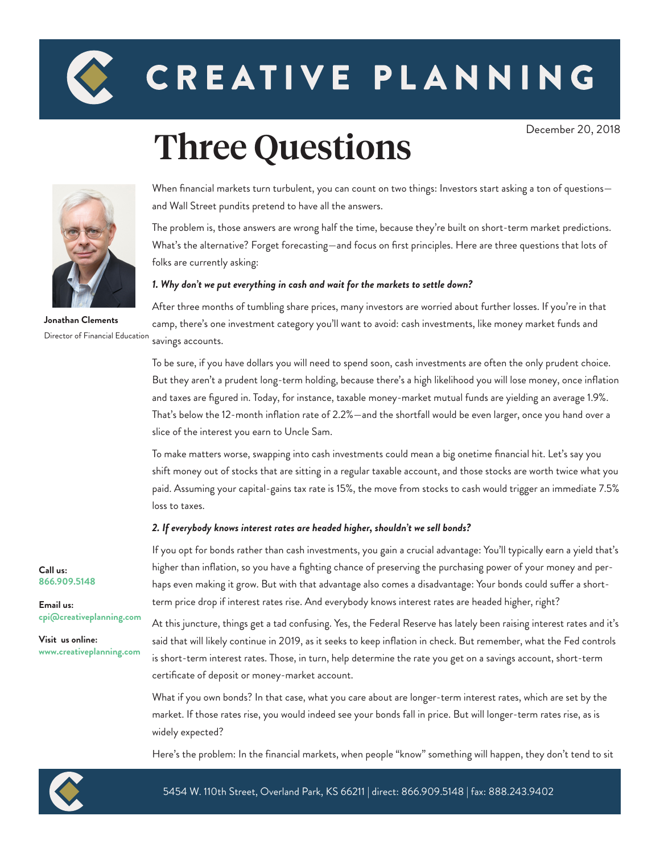

# CREATIVE PLANNING

## Three Questions



and Wall Street pundits pretend to have all the answers.

The problem is, those answers are wrong half the time, because they're built on short-term market predictions. What's the alternative? Forget forecasting—and focus on first principles. Here are three questions that lots of folks are currently asking:

When financial markets turn turbulent, you can count on two things: Investors start asking a ton of questions—

#### *1. Why don't we put everything in cash and wait for the markets to settle down?*

savings accounts. **Jonathan Clements** Director of Financial Education

After three months of tumbling share prices, many investors are worried about further losses. If you're in that camp, there's one investment category you'll want to avoid: cash investments, like money market funds and

To be sure, if you have dollars you will need to spend soon, cash investments are often the only prudent choice. But they aren't a prudent long-term holding, because there's a high likelihood you will lose money, once inflation and taxes are figured in. Today, for instance, taxable money-market mutual funds are yielding an average 1.9%. That's below the 12-month inflation rate of 2.2%—and the shortfall would be even larger, once you hand over a slice of the interest you earn to Uncle Sam.

To make matters worse, swapping into cash investments could mean a big onetime financial hit. Let's say you shift money out of stocks that are sitting in a regular taxable account, and those stocks are worth twice what you paid. Assuming your capital-gains tax rate is 15%, the move from stocks to cash would trigger an immediate 7.5% loss to taxes.

#### *2. If everybody knows interest rates are headed higher, shouldn't we sell bonds?*

If you opt for bonds rather than cash investments, you gain a crucial advantage: You'll typically earn a yield that's higher than inflation, so you have a fighting chance of preserving the purchasing power of your money and perhaps even making it grow. But with that advantage also comes a disadvantage: Your bonds could suffer a shortterm price drop if interest rates rise. And everybody knows interest rates are headed higher, right?

At this juncture, things get a tad confusing. Yes, the Federal Reserve has lately been raising interest rates and it's said that will likely continue in 2019, as it seeks to keep inflation in check. But remember, what the Fed controls is short-term interest rates. Those, in turn, help determine the rate you get on a savings account, short-term certificate of deposit or money-market account.

What if you own bonds? In that case, what you care about are longer-term interest rates, which are set by the market. If those rates rise, you would indeed see your bonds fall in price. But will longer-term rates rise, as is widely expected?

Here's the problem: In the financial markets, when people "know" something will happen, they don't tend to sit



**Call us: 866.909.5148**

**Email us:**

**Visit us online:**

**[cpi@creativeplanning.com](mailto: cpi@creativeplanning.com)**

**www.creativeplanning.com**